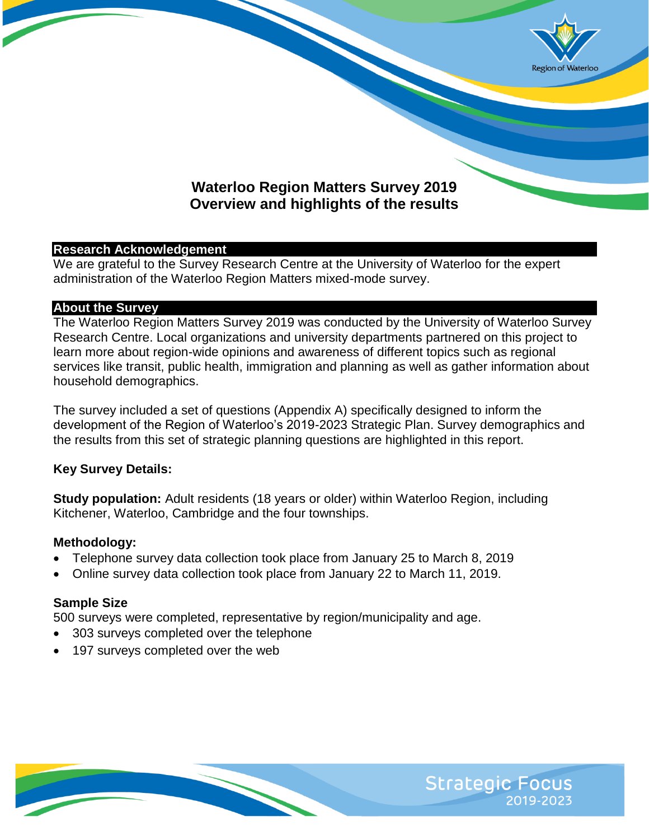

# **Waterloo Region Matters Survey 2019 Overview and highlights of the results**

### **Research Acknowledgement**

We are grateful to the Survey Research Centre at the University of Waterloo for the expert administration of the Waterloo Region Matters mixed-mode survey.

### **About the Survey**

The Waterloo Region Matters Survey 2019 was conducted by the University of Waterloo Survey Research Centre. Local organizations and university departments partnered on this project to learn more about region-wide opinions and awareness of different topics such as regional services like transit, public health, immigration and planning as well as gather information about household demographics.

The survey included a set of questions (Appendix A) specifically designed to inform the development of the Region of Waterloo's 2019-2023 Strategic Plan. Survey demographics and the results from this set of strategic planning questions are highlighted in this report.

## **Key Survey Details:**

**Study population:** Adult residents (18 years or older) within Waterloo Region, including Kitchener, Waterloo, Cambridge and the four townships.

## **Methodology:**

- Telephone survey data collection took place from January 25 to March 8, 2019
- Online survey data collection took place from January 22 to March 11, 2019.

## **Sample Size**

500 surveys were completed, representative by region/municipality and age.

- 303 surveys completed over the telephone
- 197 surveys completed over the web

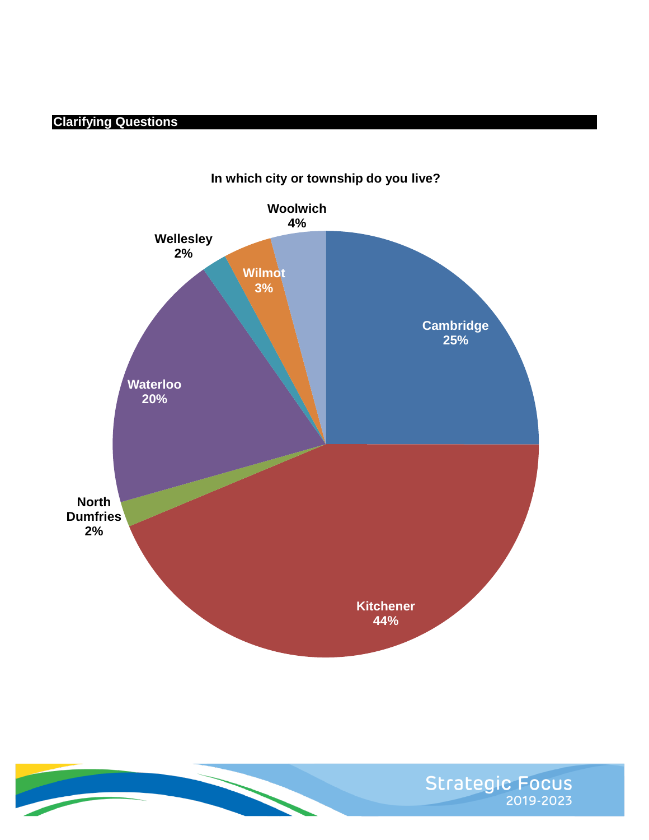# **Clarifying Questions**



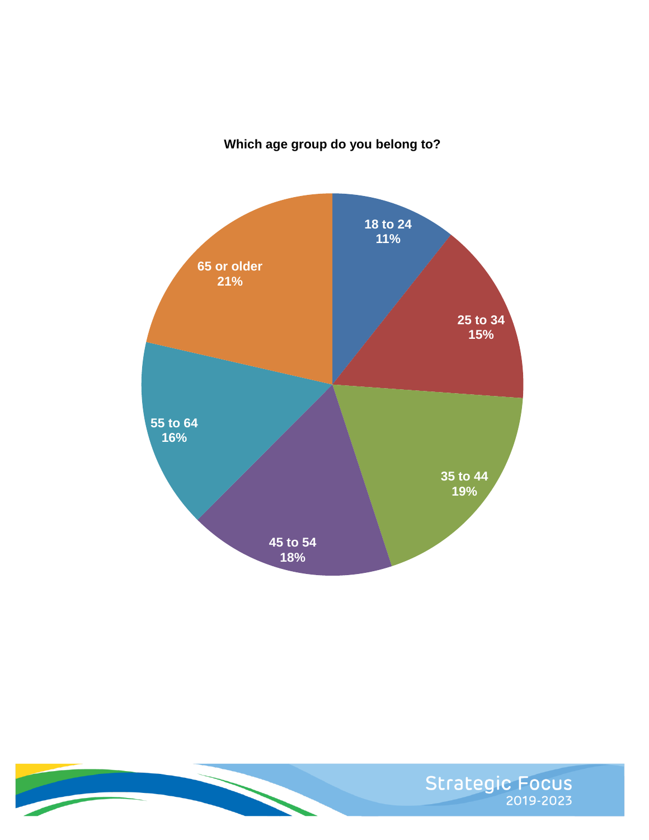## **Which age group do you belong to?**



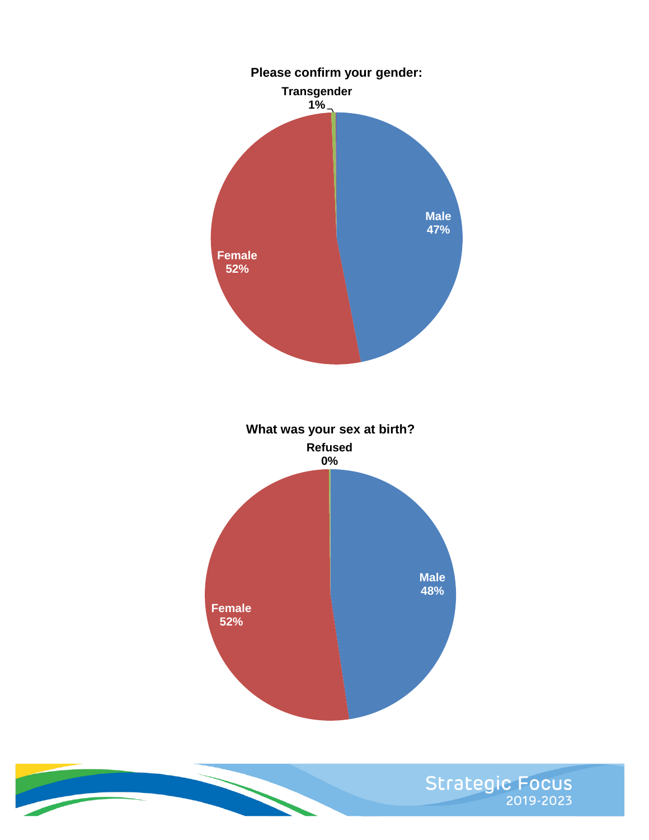

Strategic Focus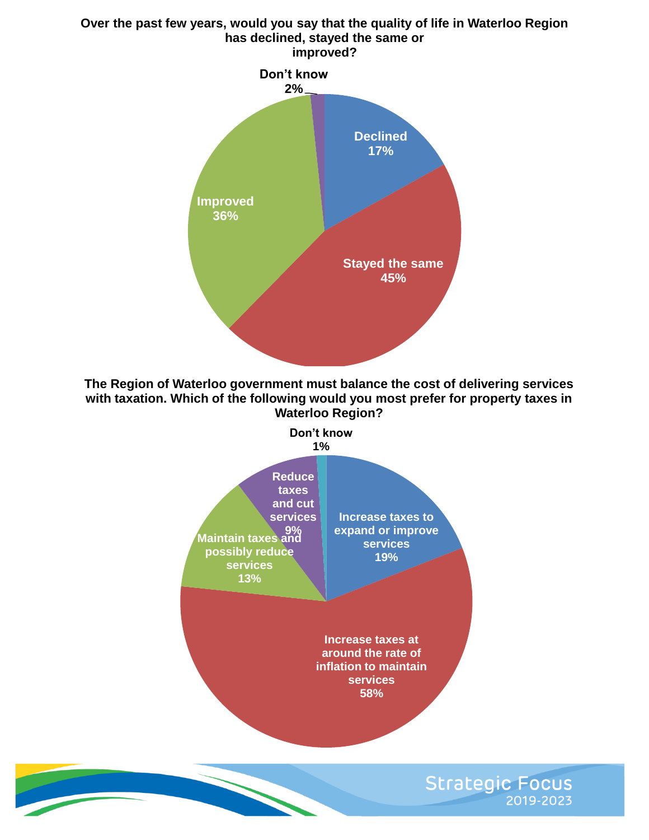# **Declined 17% Stayed the same Improved 36% Don't know 2% Over the past few years, would you say that the quality of life in Waterloo Region has declined, stayed the same or improved?**

**The Region of Waterloo government must balance the cost of delivering services with taxation. Which of the following would you most prefer for property taxes in Waterloo Region?**

**45%**



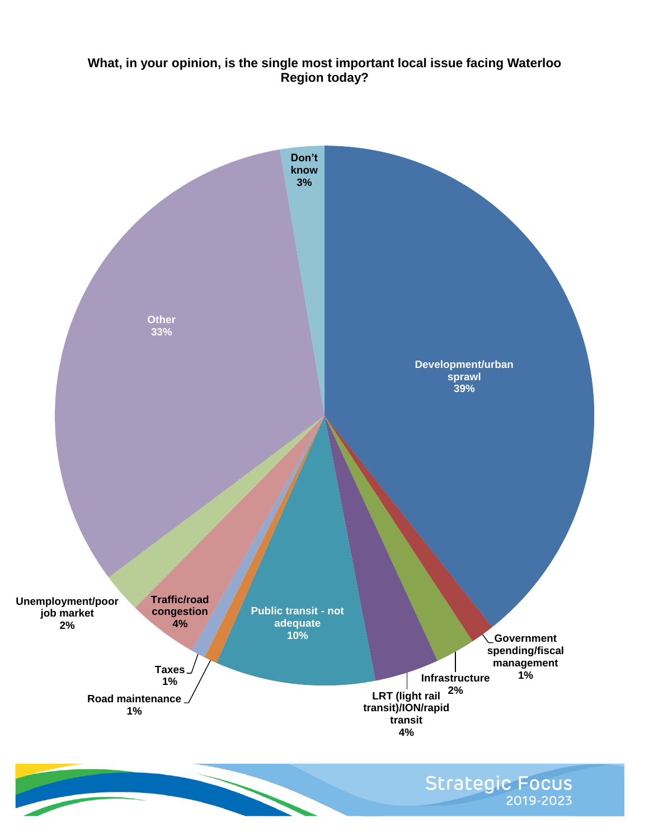## **What, in your opinion, is the single most important local issue facing Waterloo Region today?**

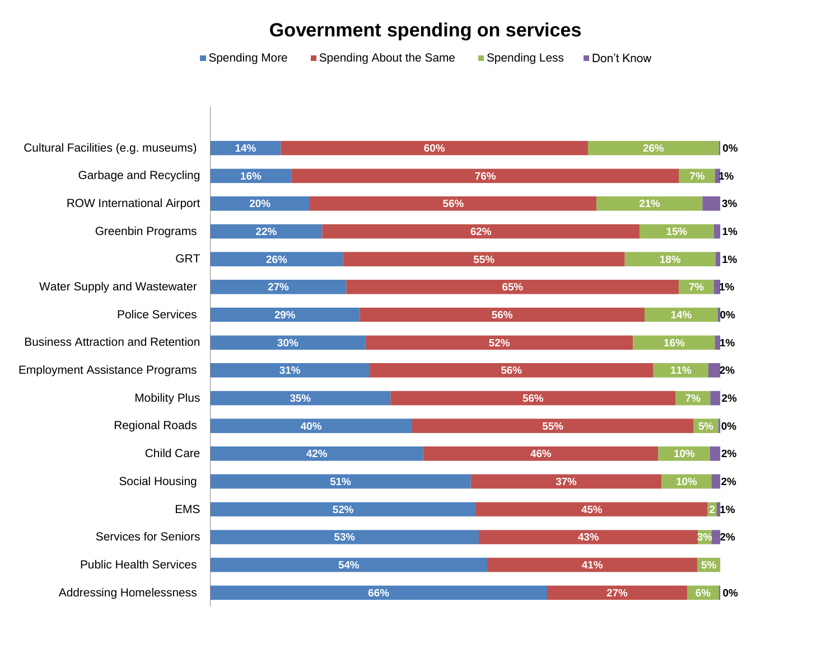# **Government spending on services**

|                                          | ■ Spending More | Spending About the Same | Spending Less | Don't Know |     |                   |
|------------------------------------------|-----------------|-------------------------|---------------|------------|-----|-------------------|
|                                          |                 |                         |               |            |     |                   |
|                                          |                 |                         |               |            |     |                   |
| Cultural Facilities (e.g. museums)       | 14%             | 60%                     |               | 26%        |     | 0%                |
| Garbage and Recycling                    | 16%             |                         | 76%           |            | 7%  | 1%                |
| <b>ROW International Airport</b>         | 20%             |                         | 56%           | 21%        |     | 3%                |
| Greenbin Programs                        | 22%             |                         | 62%           |            | 15% | $\blacksquare$ 1% |
| <b>GRT</b>                               | 26%             |                         | 55%           |            | 18% | $\blacksquare$ 1% |
| Water Supply and Wastewater              | 27%             |                         | 65%           |            | 7%  | 1%                |
| <b>Police Services</b>                   | 29%             |                         | 56%           |            | 14% | $\vert\vert$ 0%   |
| <b>Business Attraction and Retention</b> | 30%             |                         | 52%           |            | 16% | 1%                |
| <b>Employment Assistance Programs</b>    | 31%             |                         | 56%           |            | 11% | 2%                |
| <b>Mobility Plus</b>                     | 35%             |                         | 56%           |            | 7%  | 2%                |
| <b>Regional Roads</b>                    |                 | 40%                     | 55%           |            |     | 5% 0%             |
| <b>Child Care</b>                        |                 | 42%                     | 46%           |            | 10% | 2%                |
| Social Housing                           |                 | 51%                     | 37%           |            | 10% | 2%                |
| <b>EMS</b>                               |                 | 52%                     |               | 45%        |     | 21%               |
| <b>Services for Seniors</b>              |                 | 53%                     |               | 43%        |     | 3% 2%             |
| <b>Public Health Services</b>            |                 | 54%                     |               | 41%        | 5%  |                   |
| <b>Addressing Homelessness</b>           |                 | 66%                     |               | 27%        | 6%  | 0%                |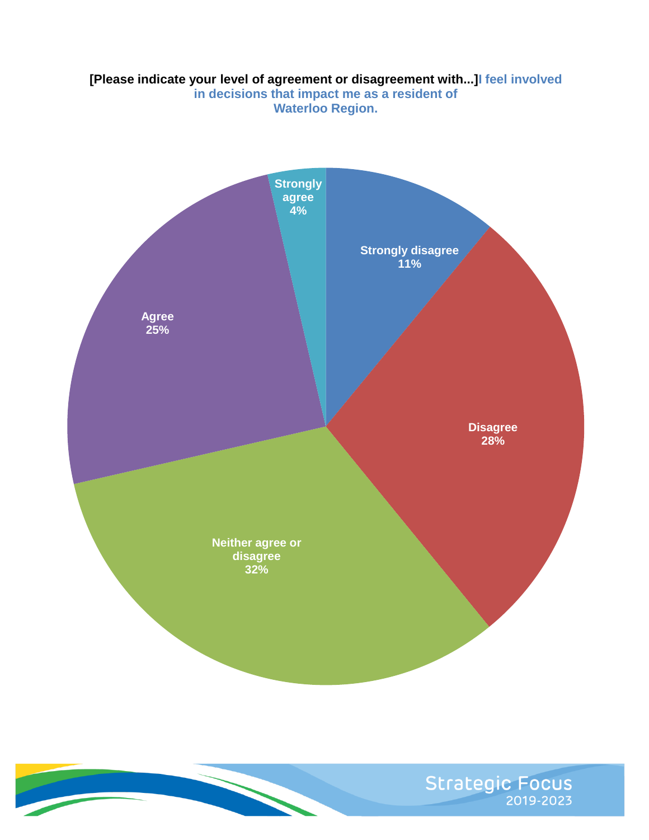## **[Please indicate your level of agreement or disagreement with...]I feel involved in decisions that impact me as a resident of Waterloo Region.**



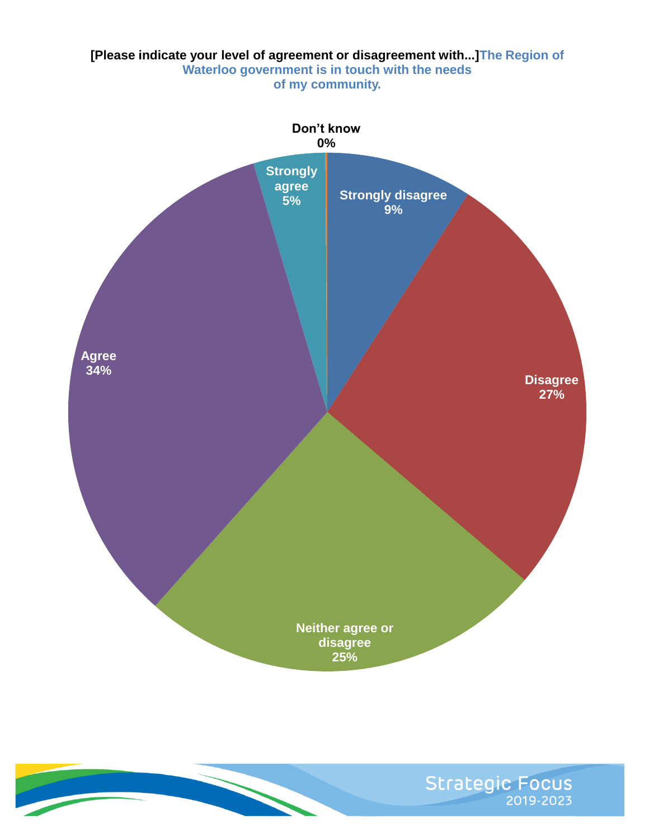

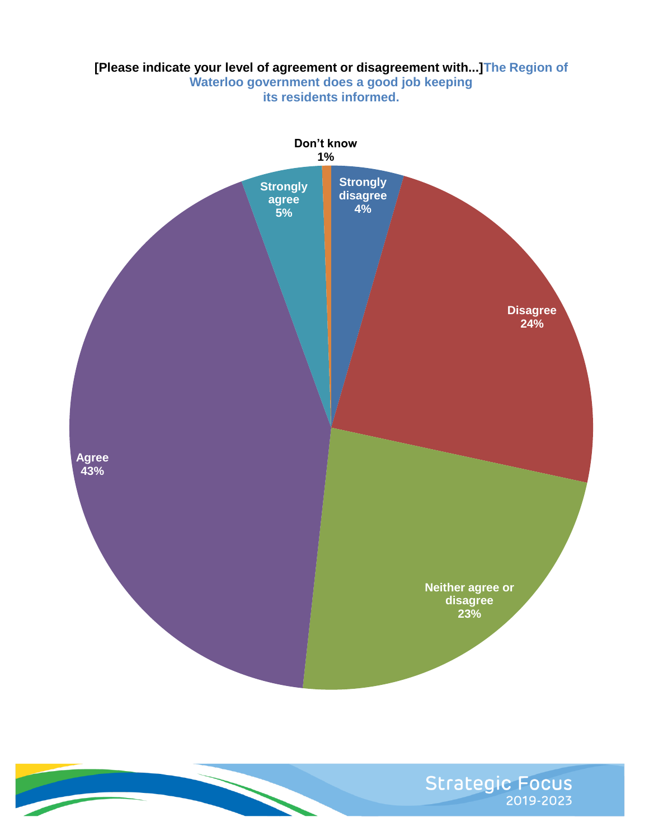### **[Please indicate your level of agreement or disagreement with...]The Region of Waterloo government does a good job keeping its residents informed.**



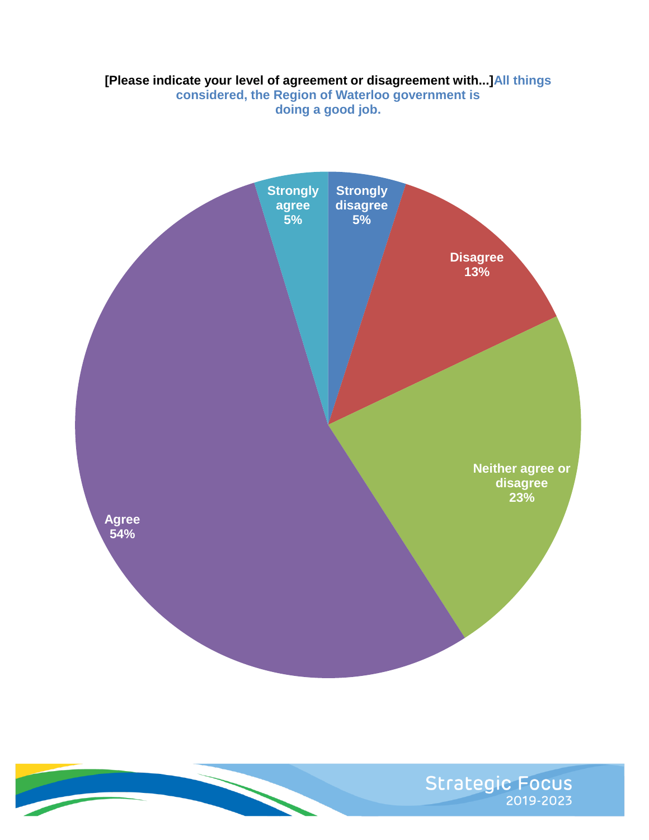## **[Please indicate your level of agreement or disagreement with...]All things**

**considered, the Region of Waterloo government is doing a good job.**



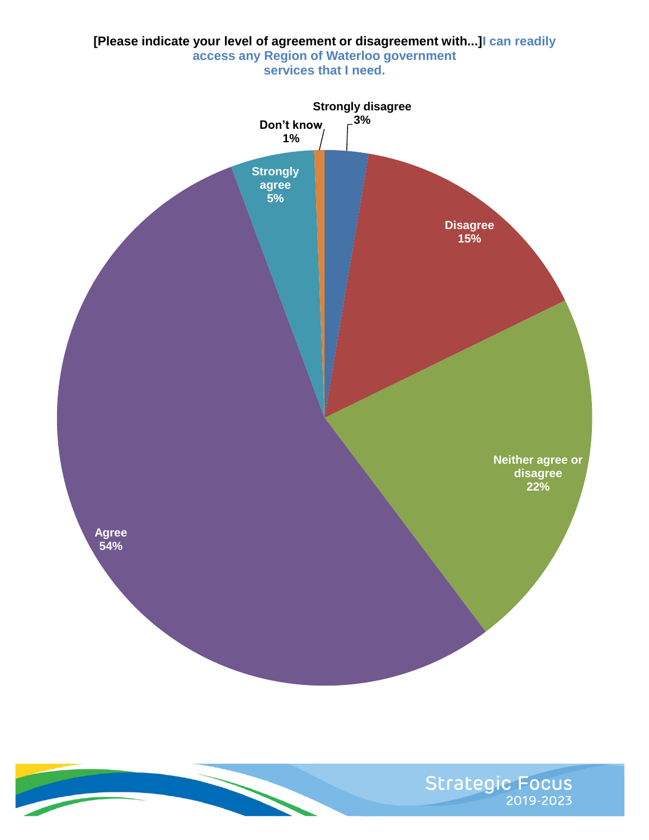

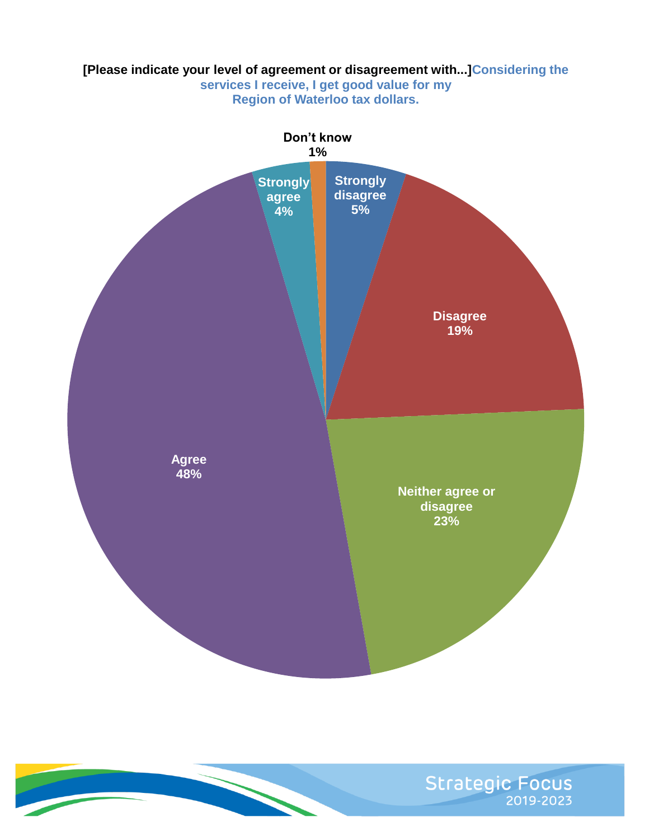## **[Please indicate your level of agreement or disagreement with...]Considering the services I receive, I get good value for my**

**Region of Waterloo tax dollars.**



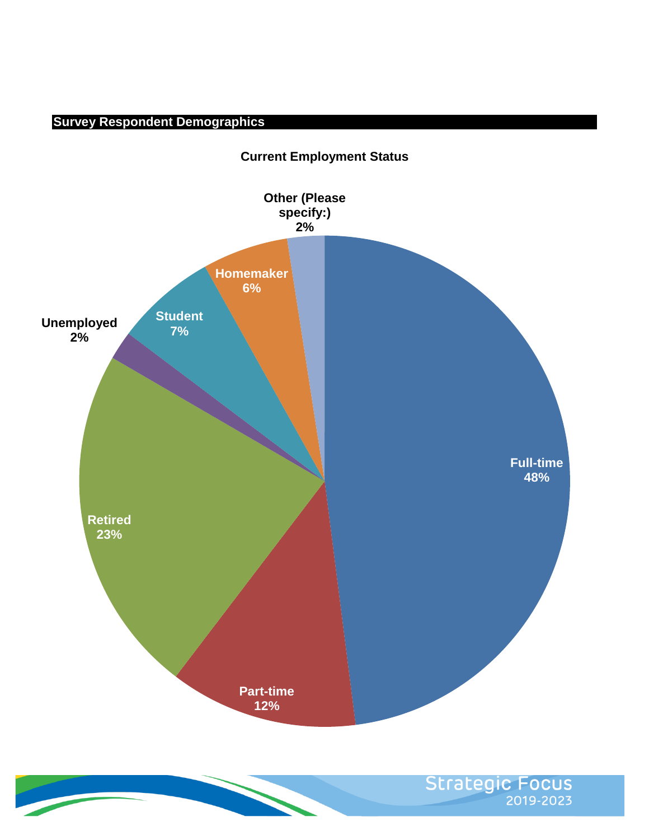# **Survey Respondent Demographics**



**Current Employment Status** 

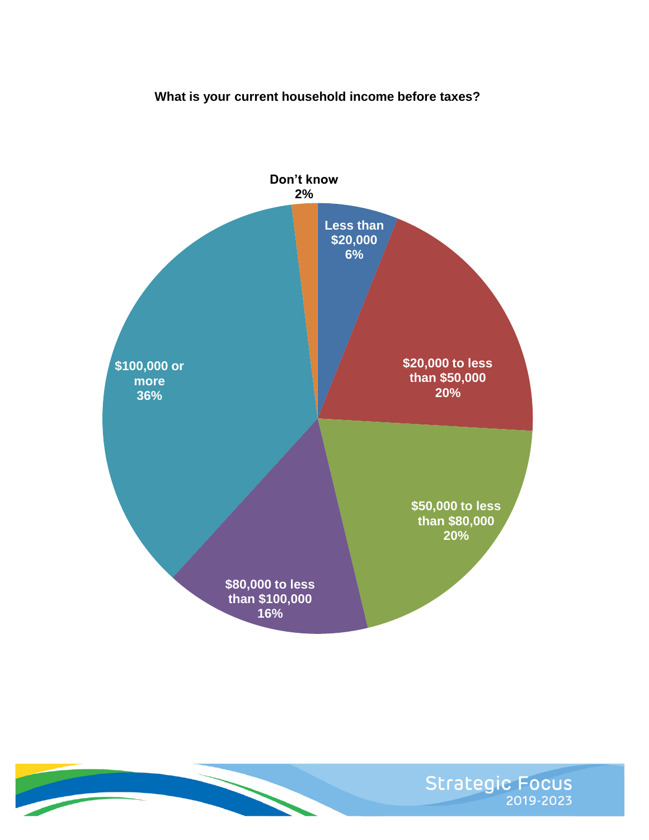## **What is your current household income before taxes?**



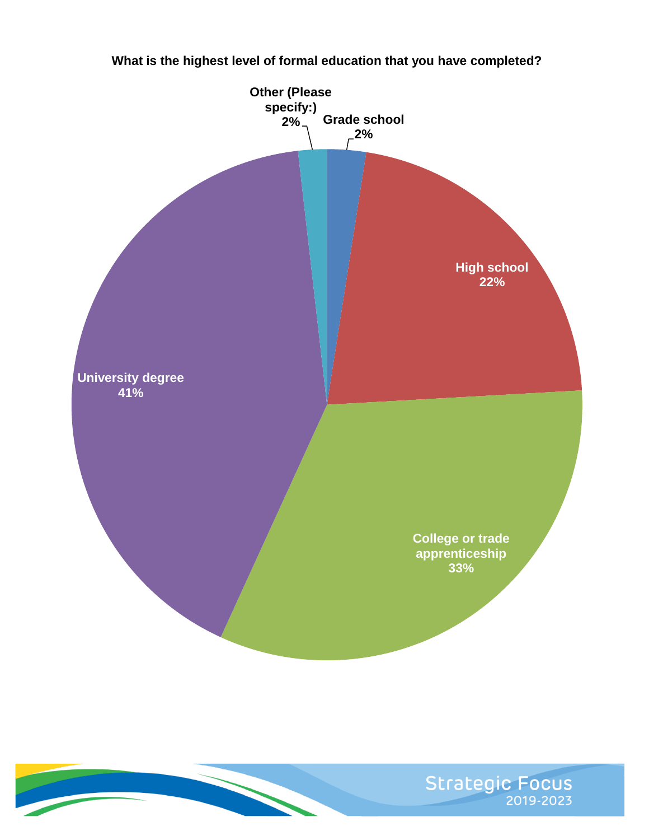



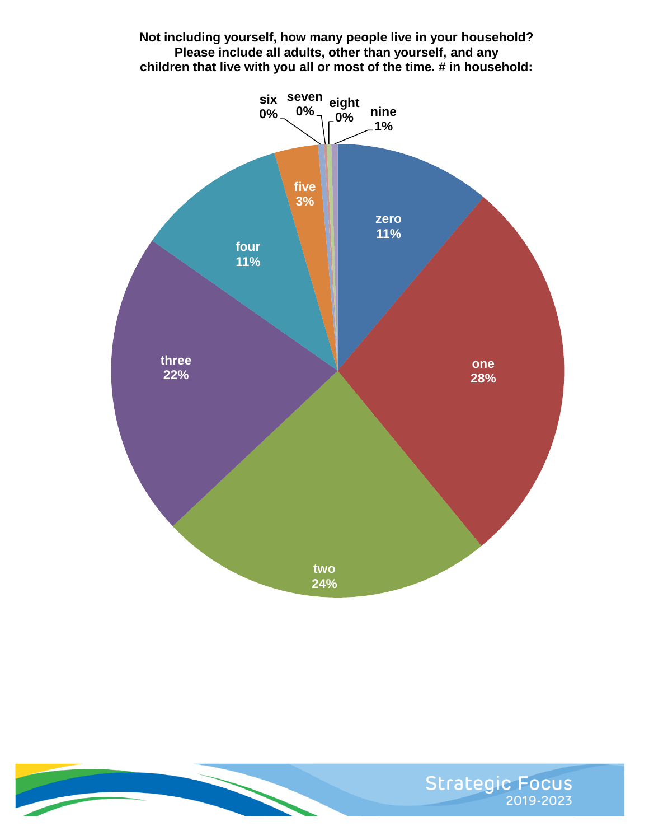## **Not including yourself, how many people live in your household? Please include all adults, other than yourself, and any children that live with you all or most of the time. # in household:**



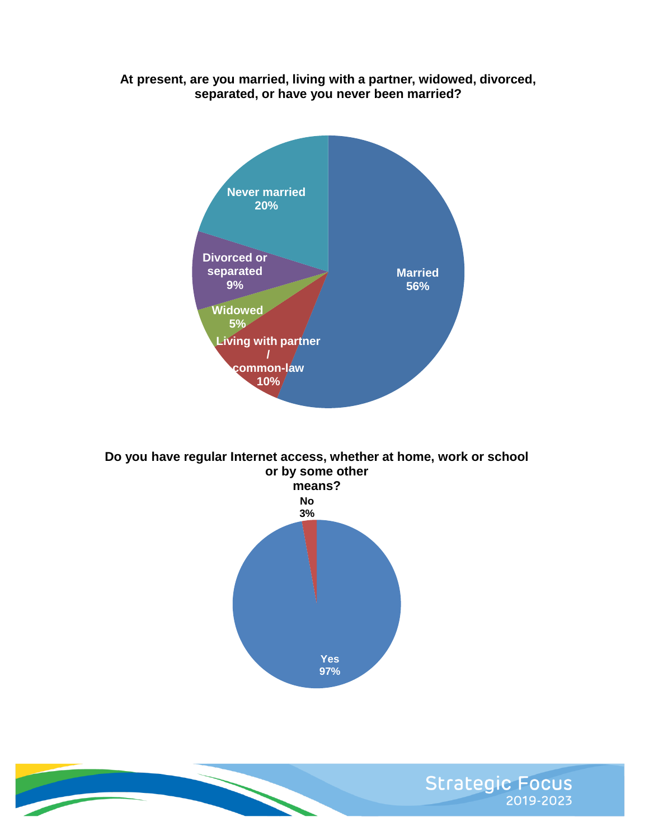## **At present, are you married, living with a partner, widowed, divorced, separated, or have you never been married?**



**Do you have regular Internet access, whether at home, work or school or by some other**



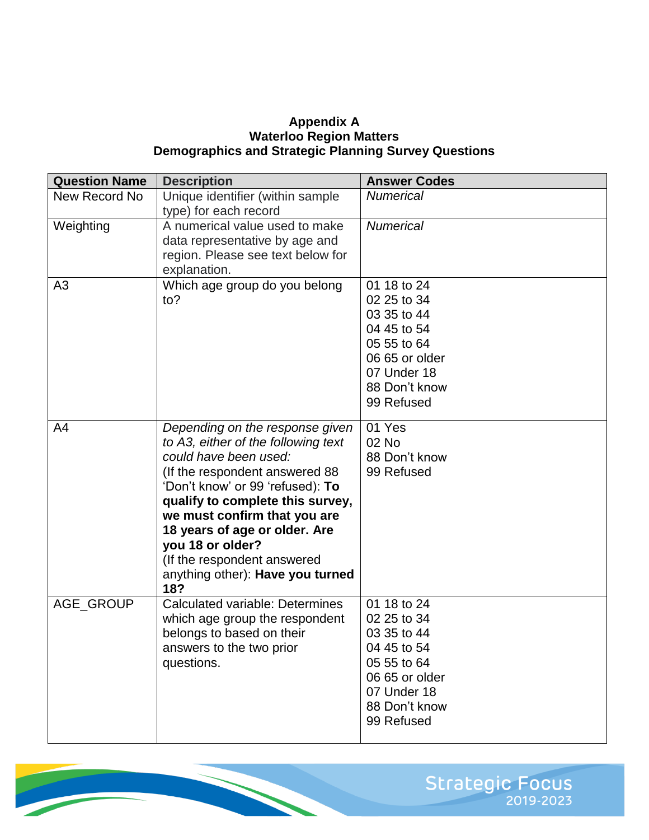#### **Appendix A Waterloo Region Matters Demographics and Strategic Planning Survey Questions**

| <b>Question Name</b> | <b>Description</b>                                                                                                                                                                                                                                                                                                                                                       | <b>Answer Codes</b>                                                                                                                     |
|----------------------|--------------------------------------------------------------------------------------------------------------------------------------------------------------------------------------------------------------------------------------------------------------------------------------------------------------------------------------------------------------------------|-----------------------------------------------------------------------------------------------------------------------------------------|
| New Record No        | Unique identifier (within sample<br>type) for each record                                                                                                                                                                                                                                                                                                                | <b>Numerical</b>                                                                                                                        |
| Weighting            | A numerical value used to make<br>data representative by age and<br>region. Please see text below for<br>explanation.                                                                                                                                                                                                                                                    | <b>Numerical</b>                                                                                                                        |
| A <sub>3</sub>       | Which age group do you belong<br>to?                                                                                                                                                                                                                                                                                                                                     | 01 18 to 24<br>02 25 to 34<br>03 35 to 44<br>04 45 to 54<br>05 55 to 64<br>06 65 or older<br>07 Under 18<br>88 Don't know<br>99 Refused |
| A <sub>4</sub>       | Depending on the response given<br>to A3, either of the following text<br>could have been used:<br>(If the respondent answered 88<br>'Don't know' or 99 'refused): To<br>qualify to complete this survey,<br>we must confirm that you are<br>18 years of age or older. Are<br>you 18 or older?<br>(If the respondent answered<br>anything other): Have you turned<br>18? | 01 Yes<br>02 No<br>88 Don't know<br>99 Refused                                                                                          |
| AGE_GROUP            | <b>Calculated variable: Determines</b><br>which age group the respondent<br>belongs to based on their<br>answers to the two prior<br>questions.                                                                                                                                                                                                                          | 01 18 to 24<br>02 25 to 34<br>03 35 to 44<br>04 45 to 54<br>05 55 to 64<br>06 65 or older<br>07 Under 18<br>88 Don't know<br>99 Refused |

Strategic Focus

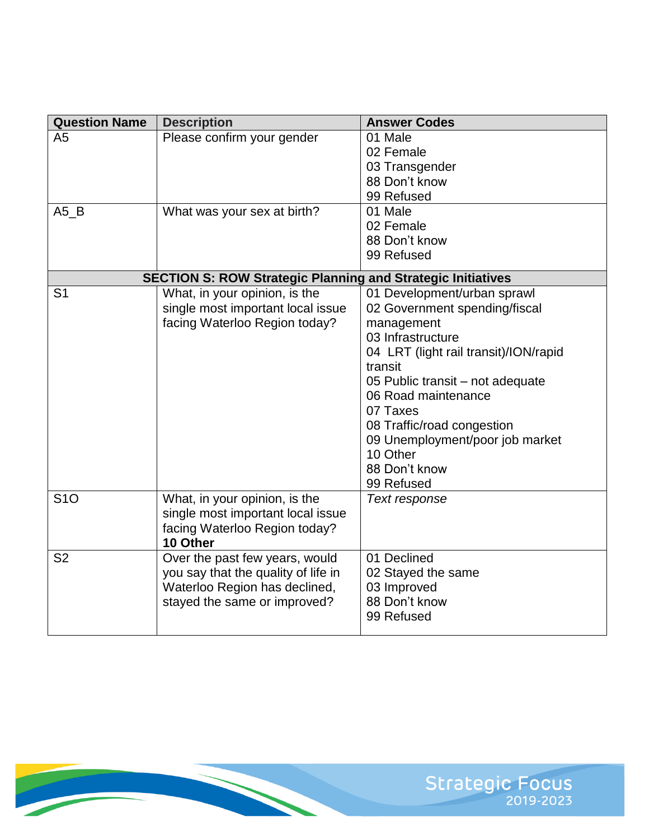| <b>Question Name</b>   | <b>Description</b>                                                                                                                     | <b>Answer Codes</b>                                                                                                                                                                                                                                                                                                                    |
|------------------------|----------------------------------------------------------------------------------------------------------------------------------------|----------------------------------------------------------------------------------------------------------------------------------------------------------------------------------------------------------------------------------------------------------------------------------------------------------------------------------------|
| A <sub>5</sub><br>A5 B | Please confirm your gender<br>What was your sex at birth?                                                                              | 01 Male<br>02 Female<br>03 Transgender<br>88 Don't know<br>99 Refused<br>01 Male<br>02 Female<br>88 Don't know<br>99 Refused                                                                                                                                                                                                           |
|                        | <b>SECTION S: ROW Strategic Planning and Strategic Initiatives</b>                                                                     |                                                                                                                                                                                                                                                                                                                                        |
| S <sub>1</sub>         | What, in your opinion, is the<br>single most important local issue<br>facing Waterloo Region today?                                    | 01 Development/urban sprawl<br>02 Government spending/fiscal<br>management<br>03 Infrastructure<br>04 LRT (light rail transit)/ION/rapid<br>transit<br>05 Public transit – not adequate<br>06 Road maintenance<br>07 Taxes<br>08 Traffic/road congestion<br>09 Unemployment/poor job market<br>10 Other<br>88 Don't know<br>99 Refused |
| <b>S10</b>             | What, in your opinion, is the<br>single most important local issue<br>facing Waterloo Region today?<br>10 Other                        | Text response                                                                                                                                                                                                                                                                                                                          |
| S <sub>2</sub>         | Over the past few years, would<br>you say that the quality of life in<br>Waterloo Region has declined,<br>stayed the same or improved? | 01 Declined<br>02 Stayed the same<br>03 Improved<br>88 Don't know<br>99 Refused                                                                                                                                                                                                                                                        |

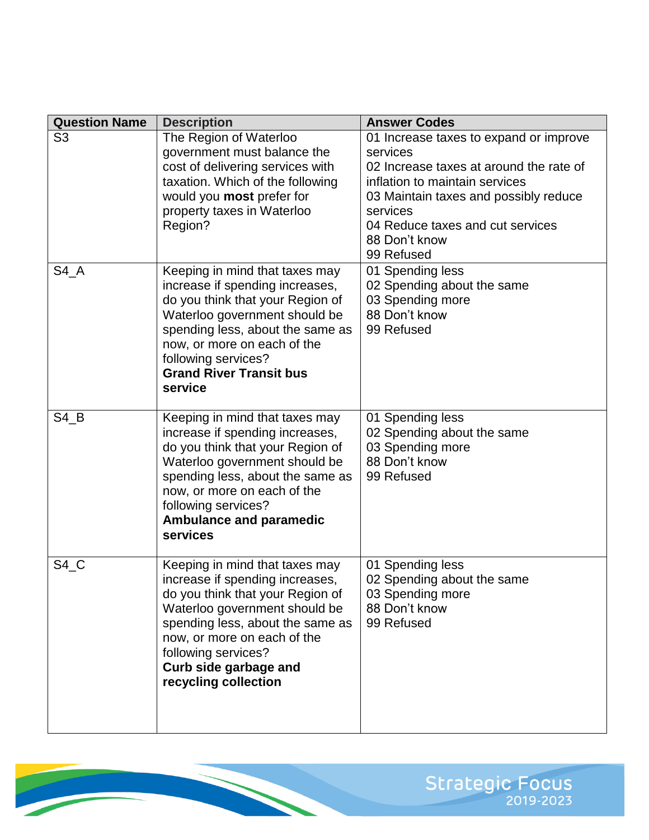| <b>Question Name</b> | <b>Description</b>                                                                                                                                                                                                                                                                | <b>Answer Codes</b>                                                                                                                                                                                                                                     |
|----------------------|-----------------------------------------------------------------------------------------------------------------------------------------------------------------------------------------------------------------------------------------------------------------------------------|---------------------------------------------------------------------------------------------------------------------------------------------------------------------------------------------------------------------------------------------------------|
| S <sub>3</sub>       | The Region of Waterloo<br>government must balance the<br>cost of delivering services with<br>taxation. Which of the following<br>would you most prefer for<br>property taxes in Waterloo<br>Region?                                                                               | 01 Increase taxes to expand or improve<br>services<br>02 Increase taxes at around the rate of<br>inflation to maintain services<br>03 Maintain taxes and possibly reduce<br>services<br>04 Reduce taxes and cut services<br>88 Don't know<br>99 Refused |
| $S4_A$               | Keeping in mind that taxes may<br>increase if spending increases,<br>do you think that your Region of<br>Waterloo government should be<br>spending less, about the same as<br>now, or more on each of the<br>following services?<br><b>Grand River Transit bus</b><br>service     | 01 Spending less<br>02 Spending about the same<br>03 Spending more<br>88 Don't know<br>99 Refused                                                                                                                                                       |
| $S4$ <sub>_</sub> B  | Keeping in mind that taxes may<br>increase if spending increases,<br>do you think that your Region of<br>Waterloo government should be<br>spending less, about the same as<br>now, or more on each of the<br>following services?<br><b>Ambulance and paramedic</b><br>services    | 01 Spending less<br>02 Spending about the same<br>03 Spending more<br>88 Don't know<br>99 Refused                                                                                                                                                       |
| $S4_C$               | Keeping in mind that taxes may<br>increase if spending increases,<br>do you think that your Region of<br>Waterloo government should be<br>spending less, about the same as<br>now, or more on each of the<br>following services?<br>Curb side garbage and<br>recycling collection | 01 Spending less<br>02 Spending about the same<br>03 Spending more<br>88 Don't know<br>99 Refused                                                                                                                                                       |

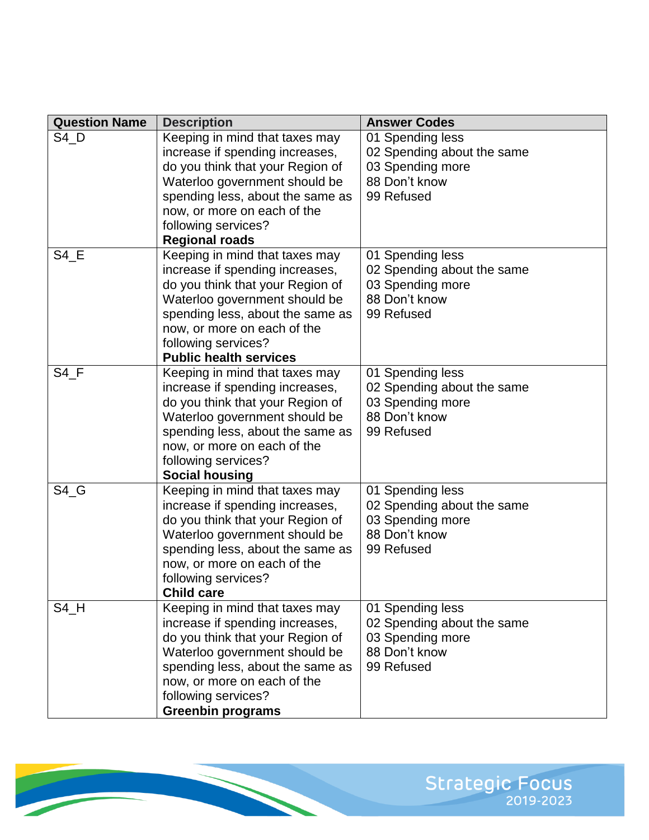| <b>Question Name</b> | <b>Description</b>               | <b>Answer Codes</b>        |
|----------------------|----------------------------------|----------------------------|
| $S4_D$               | Keeping in mind that taxes may   | 01 Spending less           |
|                      | increase if spending increases,  | 02 Spending about the same |
|                      | do you think that your Region of | 03 Spending more           |
|                      | Waterloo government should be    | 88 Don't know              |
|                      | spending less, about the same as | 99 Refused                 |
|                      | now, or more on each of the      |                            |
|                      | following services?              |                            |
|                      | <b>Regional roads</b>            |                            |
| $S4_E$               | Keeping in mind that taxes may   | 01 Spending less           |
|                      | increase if spending increases,  | 02 Spending about the same |
|                      | do you think that your Region of | 03 Spending more           |
|                      | Waterloo government should be    | 88 Don't know              |
|                      | spending less, about the same as | 99 Refused                 |
|                      | now, or more on each of the      |                            |
|                      | following services?              |                            |
|                      | <b>Public health services</b>    |                            |
| $S4_F$               | Keeping in mind that taxes may   | 01 Spending less           |
|                      | increase if spending increases,  | 02 Spending about the same |
|                      | do you think that your Region of | 03 Spending more           |
|                      | Waterloo government should be    | 88 Don't know              |
|                      | spending less, about the same as | 99 Refused                 |
|                      | now, or more on each of the      |                            |
|                      | following services?              |                            |
|                      | <b>Social housing</b>            |                            |
| $S4_G$               | Keeping in mind that taxes may   | 01 Spending less           |
|                      | increase if spending increases,  | 02 Spending about the same |
|                      | do you think that your Region of | 03 Spending more           |
|                      | Waterloo government should be    | 88 Don't know              |
|                      | spending less, about the same as | 99 Refused                 |
|                      | now, or more on each of the      |                            |
|                      | following services?              |                            |
|                      | <b>Child care</b>                |                            |
| $S4_H$               | Keeping in mind that taxes may   | 01 Spending less           |
|                      | increase if spending increases,  | 02 Spending about the same |
|                      | do you think that your Region of | 03 Spending more           |
|                      | Waterloo government should be    | 88 Don't know              |
|                      | spending less, about the same as | 99 Refused                 |
|                      | now, or more on each of the      |                            |
|                      | following services?              |                            |
|                      | <b>Greenbin programs</b>         |                            |

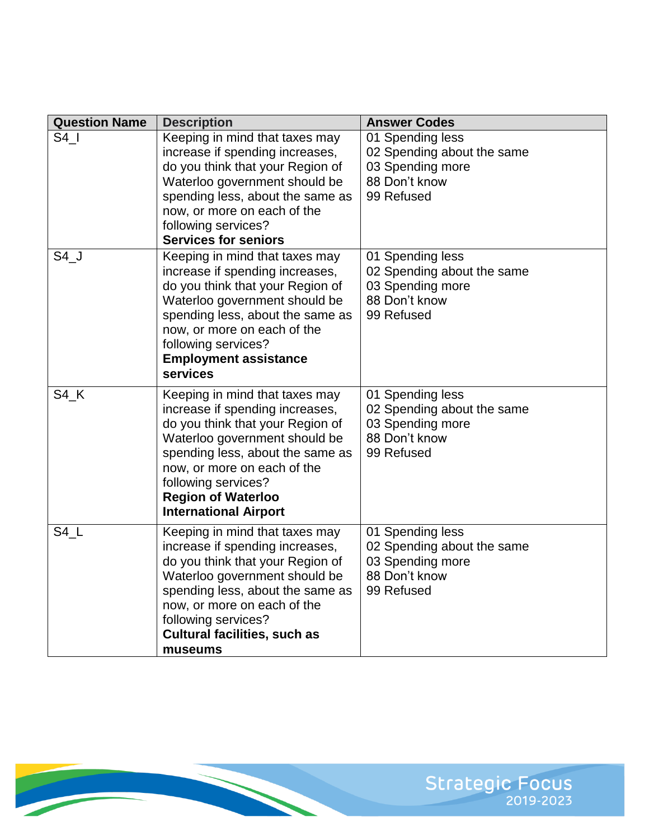| <b>Question Name</b> | <b>Description</b>                                                                                                                                                                                                                                                                            | <b>Answer Codes</b>                                                                               |
|----------------------|-----------------------------------------------------------------------------------------------------------------------------------------------------------------------------------------------------------------------------------------------------------------------------------------------|---------------------------------------------------------------------------------------------------|
| S4                   | Keeping in mind that taxes may<br>increase if spending increases,<br>do you think that your Region of<br>Waterloo government should be<br>spending less, about the same as<br>now, or more on each of the<br>following services?<br><b>Services for seniors</b>                               | 01 Spending less<br>02 Spending about the same<br>03 Spending more<br>88 Don't know<br>99 Refused |
| $S4$ <sup>J</sup>    | Keeping in mind that taxes may<br>increase if spending increases,<br>do you think that your Region of<br>Waterloo government should be<br>spending less, about the same as<br>now, or more on each of the<br>following services?<br><b>Employment assistance</b><br>services                  | 01 Spending less<br>02 Spending about the same<br>03 Spending more<br>88 Don't know<br>99 Refused |
| $S4$ <sub>K</sub>    | Keeping in mind that taxes may<br>increase if spending increases,<br>do you think that your Region of<br>Waterloo government should be<br>spending less, about the same as<br>now, or more on each of the<br>following services?<br><b>Region of Waterloo</b><br><b>International Airport</b> | 01 Spending less<br>02 Spending about the same<br>03 Spending more<br>88 Don't know<br>99 Refused |
| $S4_L$               | Keeping in mind that taxes may<br>increase if spending increases,<br>do you think that your Region of<br>Waterloo government should be<br>spending less, about the same as<br>now, or more on each of the<br>following services?<br><b>Cultural facilities, such as</b><br>museums            | 01 Spending less<br>02 Spending about the same<br>03 Spending more<br>88 Don't know<br>99 Refused |

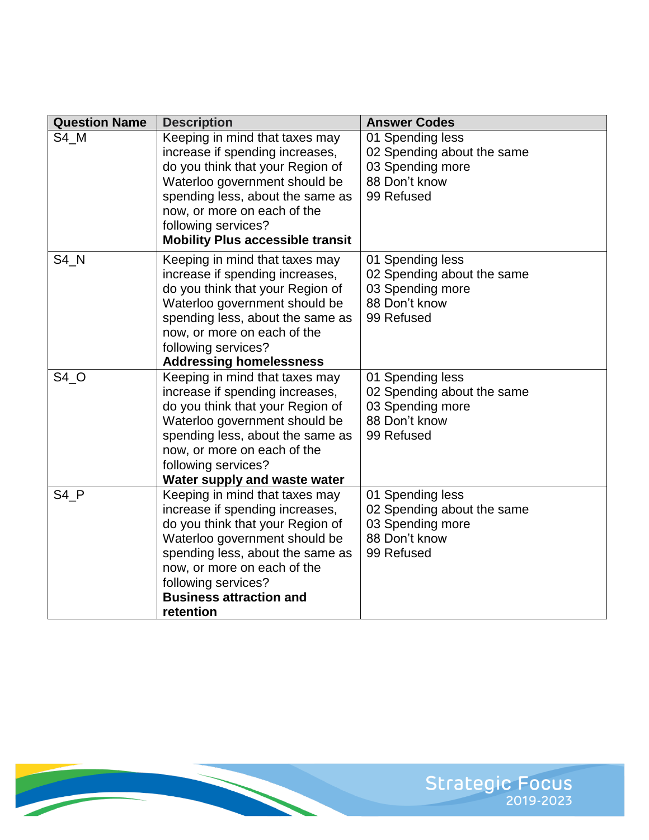| <b>Question Name</b> | <b>Description</b>                      | <b>Answer Codes</b>        |
|----------------------|-----------------------------------------|----------------------------|
| S4 M                 | Keeping in mind that taxes may          | 01 Spending less           |
|                      | increase if spending increases,         | 02 Spending about the same |
|                      | do you think that your Region of        | 03 Spending more           |
|                      | Waterloo government should be           | 88 Don't know              |
|                      | spending less, about the same as        | 99 Refused                 |
|                      | now, or more on each of the             |                            |
|                      | following services?                     |                            |
|                      | <b>Mobility Plus accessible transit</b> |                            |
| $S4$ <sub>_N</sub>   | Keeping in mind that taxes may          | 01 Spending less           |
|                      | increase if spending increases,         | 02 Spending about the same |
|                      | do you think that your Region of        | 03 Spending more           |
|                      | Waterloo government should be           | 88 Don't know              |
|                      | spending less, about the same as        | 99 Refused                 |
|                      | now, or more on each of the             |                            |
|                      | following services?                     |                            |
|                      | <b>Addressing homelessness</b>          |                            |
| $S4_O$               | Keeping in mind that taxes may          | 01 Spending less           |
|                      | increase if spending increases,         | 02 Spending about the same |
|                      | do you think that your Region of        | 03 Spending more           |
|                      | Waterloo government should be           | 88 Don't know              |
|                      | spending less, about the same as        | 99 Refused                 |
|                      | now, or more on each of the             |                            |
|                      | following services?                     |                            |
|                      | Water supply and waste water            |                            |
| $S4_P$               | Keeping in mind that taxes may          | 01 Spending less           |
|                      | increase if spending increases,         | 02 Spending about the same |
|                      | do you think that your Region of        | 03 Spending more           |
|                      | Waterloo government should be           | 88 Don't know              |
|                      | spending less, about the same as        | 99 Refused                 |
|                      | now, or more on each of the             |                            |
|                      | following services?                     |                            |
|                      | <b>Business attraction and</b>          |                            |
|                      | retention                               |                            |

**CONTRACT** 

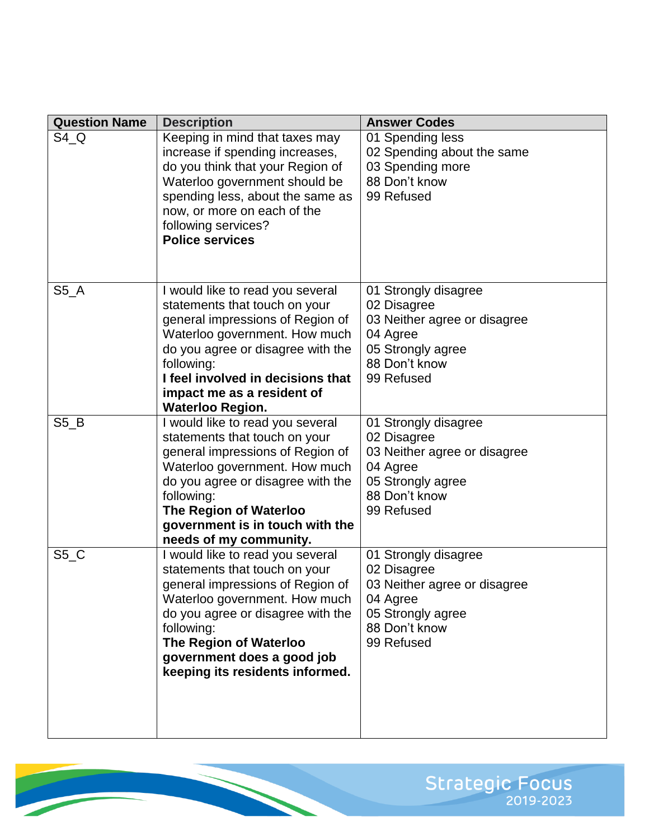| <b>Question Name</b> | <b>Description</b>                                                                                                                                                                                                                                                                          | <b>Answer Codes</b>                                                                                                                 |
|----------------------|---------------------------------------------------------------------------------------------------------------------------------------------------------------------------------------------------------------------------------------------------------------------------------------------|-------------------------------------------------------------------------------------------------------------------------------------|
| $S4_Q$               | Keeping in mind that taxes may<br>increase if spending increases,<br>do you think that your Region of<br>Waterloo government should be<br>spending less, about the same as<br>now, or more on each of the<br>following services?<br><b>Police services</b>                                  | 01 Spending less<br>02 Spending about the same<br>03 Spending more<br>88 Don't know<br>99 Refused                                   |
| $S5_A$               | I would like to read you several<br>statements that touch on your<br>general impressions of Region of<br>Waterloo government. How much<br>do you agree or disagree with the<br>following:<br>I feel involved in decisions that<br>impact me as a resident of<br><b>Waterloo Region.</b>     | 01 Strongly disagree<br>02 Disagree<br>03 Neither agree or disagree<br>04 Agree<br>05 Strongly agree<br>88 Don't know<br>99 Refused |
| $S5_B$               | I would like to read you several<br>statements that touch on your<br>general impressions of Region of<br>Waterloo government. How much<br>do you agree or disagree with the<br>following:<br><b>The Region of Waterloo</b><br>government is in touch with the<br>needs of my community.     | 01 Strongly disagree<br>02 Disagree<br>03 Neither agree or disagree<br>04 Agree<br>05 Strongly agree<br>88 Don't know<br>99 Refused |
| $S5_C$               | I would like to read you several<br>statements that touch on your<br>general impressions of Region of<br>Waterloo government. How much<br>do you agree or disagree with the<br>following:<br><b>The Region of Waterloo</b><br>government does a good job<br>keeping its residents informed. | 01 Strongly disagree<br>02 Disagree<br>03 Neither agree or disagree<br>04 Agree<br>05 Strongly agree<br>88 Don't know<br>99 Refused |

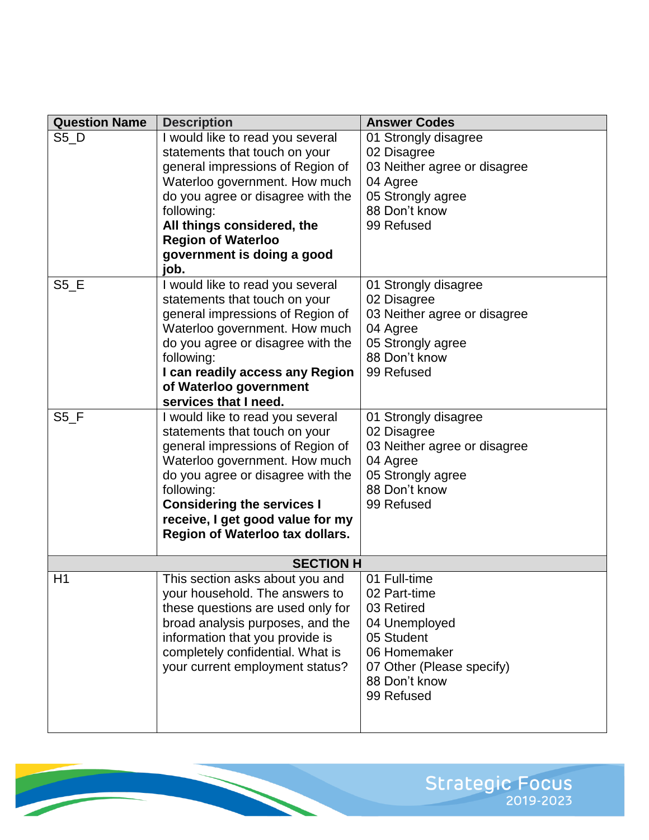| <b>Question Name</b> | <b>Description</b>                     | <b>Answer Codes</b>          |
|----------------------|----------------------------------------|------------------------------|
| $S5_D$               | I would like to read you several       | 01 Strongly disagree         |
|                      | statements that touch on your          | 02 Disagree                  |
|                      | general impressions of Region of       | 03 Neither agree or disagree |
|                      | Waterloo government. How much          | 04 Agree                     |
|                      | do you agree or disagree with the      | 05 Strongly agree            |
|                      | following:                             | 88 Don't know                |
|                      | All things considered, the             | 99 Refused                   |
|                      | <b>Region of Waterloo</b>              |                              |
|                      | government is doing a good             |                              |
|                      | job.                                   |                              |
| $S5$ <sub>_</sub> E  | I would like to read you several       | 01 Strongly disagree         |
|                      | statements that touch on your          | 02 Disagree                  |
|                      | general impressions of Region of       | 03 Neither agree or disagree |
|                      | Waterloo government. How much          | 04 Agree                     |
|                      | do you agree or disagree with the      | 05 Strongly agree            |
|                      | following:                             | 88 Don't know                |
|                      | I can readily access any Region        | 99 Refused                   |
|                      | of Waterloo government                 |                              |
|                      | services that I need.                  |                              |
| S5 F                 | I would like to read you several       | 01 Strongly disagree         |
|                      | statements that touch on your          | 02 Disagree                  |
|                      | general impressions of Region of       | 03 Neither agree or disagree |
|                      | Waterloo government. How much          | 04 Agree                     |
|                      | do you agree or disagree with the      | 05 Strongly agree            |
|                      | following:                             | 88 Don't know                |
|                      | <b>Considering the services I</b>      | 99 Refused                   |
|                      | receive, I get good value for my       |                              |
|                      | <b>Region of Waterloo tax dollars.</b> |                              |
|                      |                                        |                              |
|                      | <b>SECTION H</b>                       |                              |
| H1                   | This section asks about you and        | 01 Full-time                 |
|                      | your household. The answers to         | 02 Part-time                 |
|                      | these questions are used only for      | 03 Retired                   |
|                      | broad analysis purposes, and the       | 04 Unemployed                |
|                      | information that you provide is        | 05 Student                   |
|                      | completely confidential. What is       | 06 Homemaker                 |
|                      | your current employment status?        | 07 Other (Please specify)    |
|                      |                                        | 88 Don't know                |
|                      |                                        | 99 Refused                   |
|                      |                                        |                              |
|                      |                                        |                              |

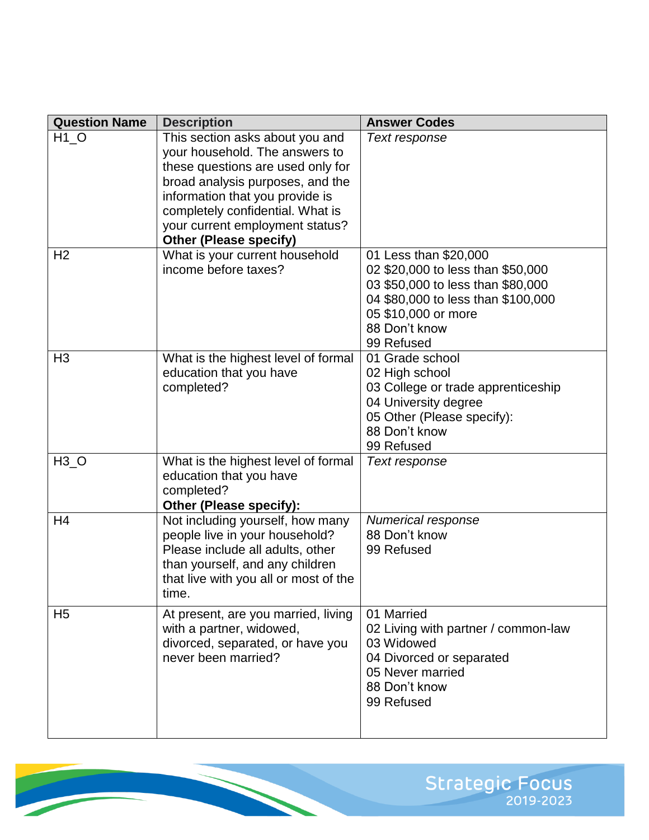| <b>Question Name</b> | <b>Description</b>                                                                                                                                                                                                                                                                    | <b>Answer Codes</b>                                                                                                                                                                         |
|----------------------|---------------------------------------------------------------------------------------------------------------------------------------------------------------------------------------------------------------------------------------------------------------------------------------|---------------------------------------------------------------------------------------------------------------------------------------------------------------------------------------------|
| $H1_O$               | This section asks about you and<br>your household. The answers to<br>these questions are used only for<br>broad analysis purposes, and the<br>information that you provide is<br>completely confidential. What is<br>your current employment status?<br><b>Other (Please specify)</b> | Text response                                                                                                                                                                               |
| H <sub>2</sub>       | What is your current household<br>income before taxes?                                                                                                                                                                                                                                | 01 Less than \$20,000<br>02 \$20,000 to less than \$50,000<br>03 \$50,000 to less than \$80,000<br>04 \$80,000 to less than \$100,000<br>05 \$10,000 or more<br>88 Don't know<br>99 Refused |
| H <sub>3</sub>       | What is the highest level of formal<br>education that you have<br>completed?                                                                                                                                                                                                          | 01 Grade school<br>02 High school<br>03 College or trade apprenticeship<br>04 University degree<br>05 Other (Please specify):<br>88 Don't know<br>99 Refused                                |
| $H3_O$               | What is the highest level of formal<br>education that you have<br>completed?<br>Other (Please specify):                                                                                                                                                                               | Text response                                                                                                                                                                               |
| H <sub>4</sub>       | Not including yourself, how many<br>people live in your household?<br>Please include all adults, other<br>than yourself, and any children<br>that live with you all or most of the<br>time.                                                                                           | Numerical response<br>88 Don't know<br>99 Refused                                                                                                                                           |
| H <sub>5</sub>       | At present, are you married, living<br>with a partner, widowed,<br>divorced, separated, or have you<br>never been married?                                                                                                                                                            | 01 Married<br>02 Living with partner / common-law<br>03 Widowed<br>04 Divorced or separated<br>05 Never married<br>88 Don't know<br>99 Refused                                              |